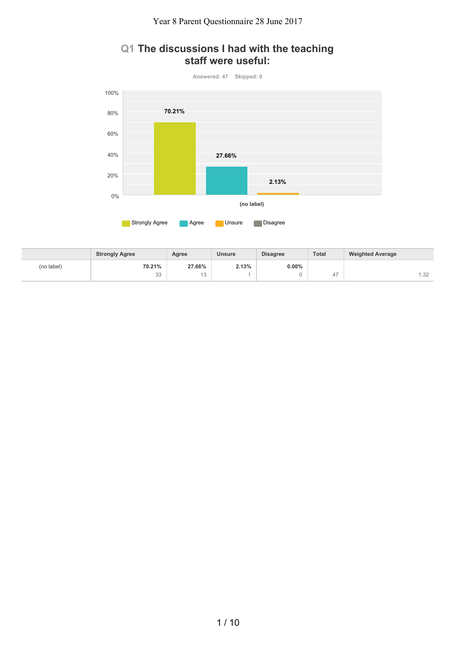## **Q1 The discussions I had with the teaching staff were useful:**



|            | <b>Strongly Agree</b> | Agree               | <b>Unsure</b> | <b>Disagree</b> | <b>Total</b> | <b>Weighted Average</b> |
|------------|-----------------------|---------------------|---------------|-----------------|--------------|-------------------------|
| (no label) | 70.21%                | 27.66%              | 2.13%         | $0.00\%$        |              |                         |
|            | $\cap$<br>33          | $\overline{a}$<br>U |               |                 | $+$ ,        | $\cap$<br>.32           |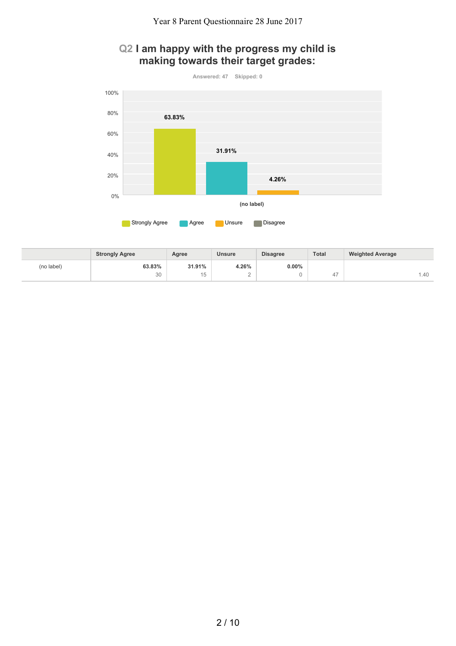# **Q2 I am happy with the progress my child is making towards their target grades:**



|            | <b>Strongly Agree</b> | Agree               | <b>Unsure</b> | <b>Disagree</b> | <b>Total</b> | <b>Weighted Average</b> |
|------------|-----------------------|---------------------|---------------|-----------------|--------------|-------------------------|
| (no label) | 63.83%                | 31.91%              | 4.26%         | $0.00\%$        |              |                         |
|            | 30                    | $\overline{a}$<br>◡ | -             |                 | $+$ ,        | .40                     |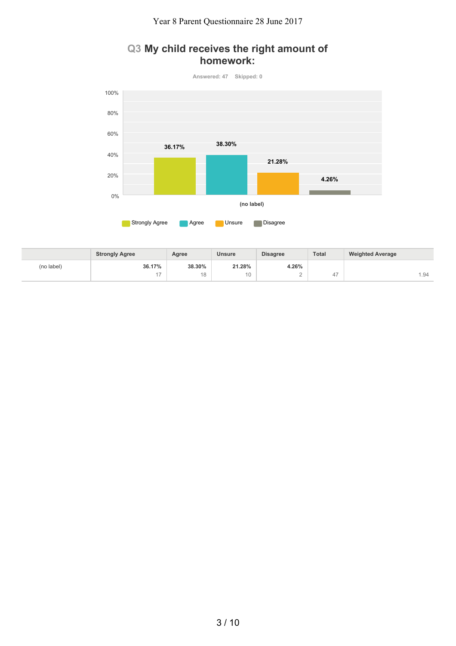## **Q3 My child receives the right amount of homework:**



|            | <b>Strongly Agree</b> | Agree  | <b>Unsure</b> | <b>Disagree</b> | <b>Total</b> | <b>Weighted Average</b> |
|------------|-----------------------|--------|---------------|-----------------|--------------|-------------------------|
| (no label) | 36.17%                | 38.30% | 21.28%        | 4.26%           |              |                         |
|            | . –                   | 18     | 10            | ∼               | ∸            | i.94                    |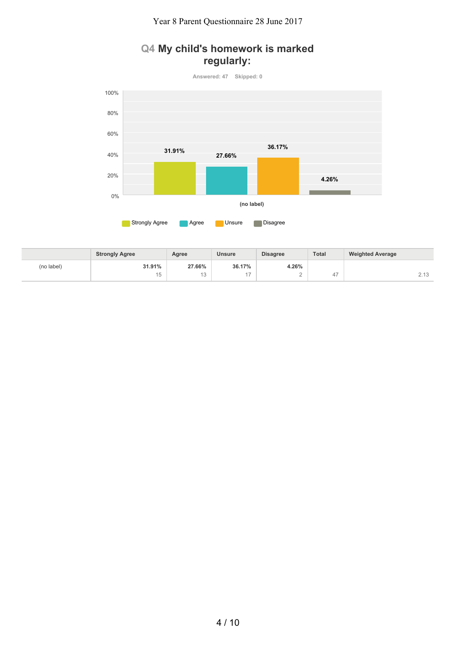# **Q4 My child's homework is marked regularly:**

**Answered: 47 Skipped: 0 Agree Agree Unsure Disagree (no label)** 0% 20% 40% 60% 80% 100% **31.91% 27.66% 36.17% 4.26%**

|            | <b>Strongly Agree</b> | Agree               | <b>Unsure</b> | <b>Disagree</b> | Total                    | <b>Weighted Average</b>            |
|------------|-----------------------|---------------------|---------------|-----------------|--------------------------|------------------------------------|
| (no label) | 31.91%                | 27.66%              | 36.17%        | 4.26%           |                          |                                    |
|            | . .<br>v              | $\overline{a}$<br>U |               | -               | $\overline{\phantom{a}}$ | $\sim$ 4 $\sim$<br>$\sim$ . $\sim$ |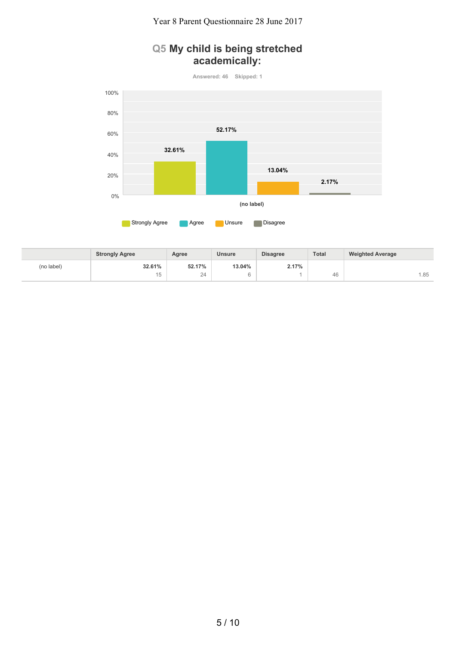# **Q5 My child is being stretched academically:**



|            | <b>Strongly Agree</b> | Agree  | <b>Unsure</b> | <b>Disagree</b> | Total | <b>Weighted Average</b> |
|------------|-----------------------|--------|---------------|-----------------|-------|-------------------------|
| (no label) | 32.61%                | 52.17% | 13.04%        | 2.17%           |       |                         |
|            | . .<br>◡              | 24     |               |                 | 46    | .85                     |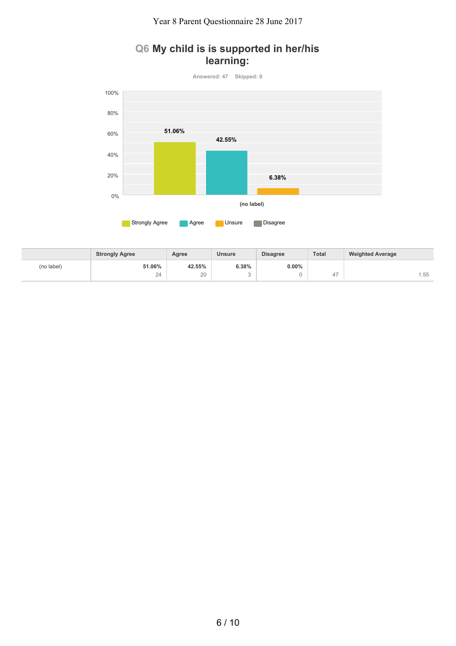## **Q6 My child is is supported in her/his learning:**



|            | <b>Strongly Agree</b> | Agree         | <b>Unsure</b> | <b>Disagree</b> | Total | <b>Weighted Average</b> |
|------------|-----------------------|---------------|---------------|-----------------|-------|-------------------------|
| (no label) | 51.06%                | 42.55%        | 6.38%         | $0.00\%$        |       |                         |
|            | $\Omega$<br>-         | $\cap$<br>ZU. |               |                 | ↵     | 1.55                    |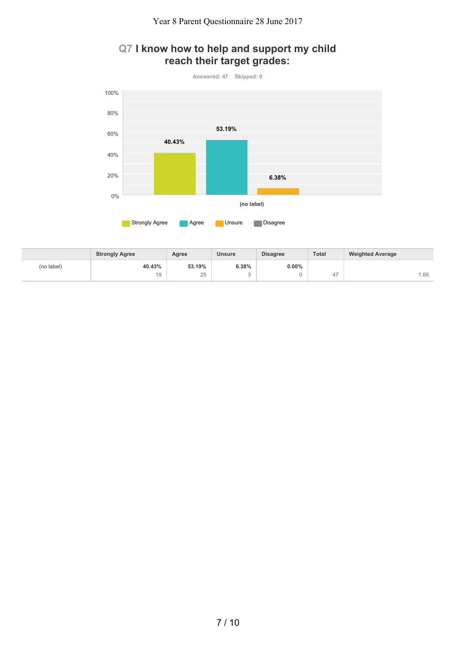# **Q7 I know how to help and support my child reach their target grades:**



|            | <b>Strongly Agree</b> | Agree          | <b>Unsure</b> | <b>Disagree</b> | <b>Total</b> | <b>Weighted Average</b> |
|------------|-----------------------|----------------|---------------|-----------------|--------------|-------------------------|
| (no label) | 40.43%                | 53.19%         | 6.38%         | $0.00\%$        |              |                         |
|            | 19                    | $\Omega$<br>∠∪ |               |                 | $+$ ,        | .66                     |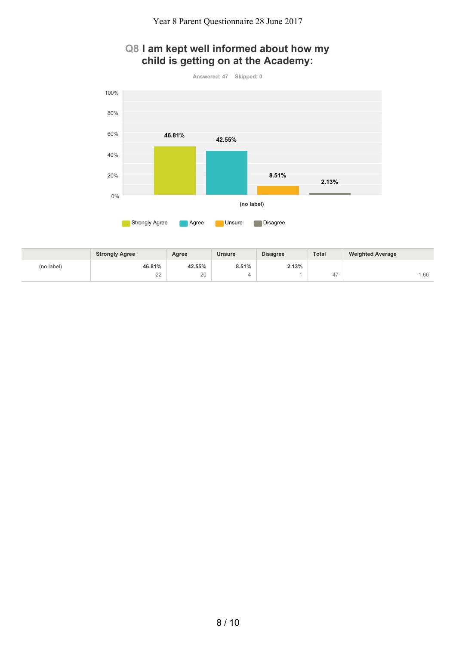# **Q8 I am kept well informed about how my child is getting on at the Academy:**



|            | <b>Strongly Agree</b> | Agree        | <b>Unsure</b> | <b>Disagree</b> | <b>Total</b> | <b>Weighted Average</b> |
|------------|-----------------------|--------------|---------------|-----------------|--------------|-------------------------|
| (no label) | 46.81%                | 42.55%       | 8.51%         | 2.13%           |              |                         |
|            | $\cap$<br><u>__</u>   | $\cap$<br>ZU |               |                 | ∸            | .66                     |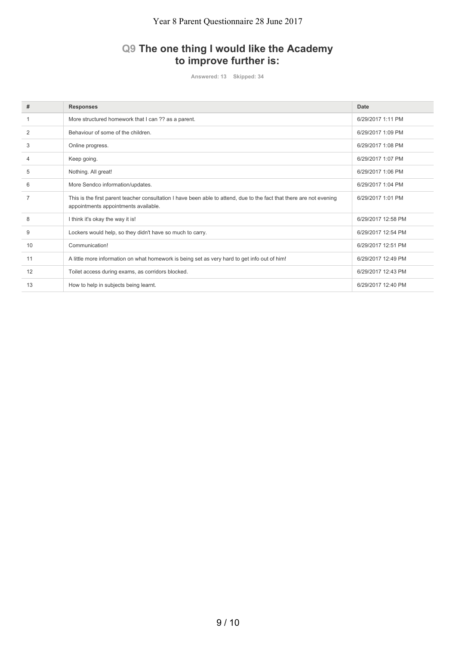# **Q9 The one thing I would like the Academy to improve further is:**

**Answered: 13 Skipped: 34**

| #              | <b>Responses</b>                                                                                                                                             | Date               |
|----------------|--------------------------------------------------------------------------------------------------------------------------------------------------------------|--------------------|
|                | More structured homework that I can ?? as a parent.                                                                                                          | 6/29/2017 1:11 PM  |
| $\overline{2}$ | Behaviour of some of the children.                                                                                                                           | 6/29/2017 1:09 PM  |
| 3              | Online progress.                                                                                                                                             | 6/29/2017 1:08 PM  |
| 4              | Keep going.                                                                                                                                                  | 6/29/2017 1:07 PM  |
| 5              | Nothing. All great!                                                                                                                                          | 6/29/2017 1:06 PM  |
| 6              | More Sendco information/updates.                                                                                                                             | 6/29/2017 1:04 PM  |
| $\overline{7}$ | This is the first parent teacher consultation I have been able to attend, due to the fact that there are not evening<br>appointments appointments available. | 6/29/2017 1:01 PM  |
| 8              | I think it's okay the way it is!                                                                                                                             | 6/29/2017 12:58 PM |
| 9              | Lockers would help, so they didn't have so much to carry.                                                                                                    | 6/29/2017 12:54 PM |
| 10             | Communication!                                                                                                                                               | 6/29/2017 12:51 PM |
| 11             | A little more information on what homework is being set as very hard to get info out of him!                                                                 | 6/29/2017 12:49 PM |
| 12             | Toilet access during exams, as corridors blocked.                                                                                                            | 6/29/2017 12:43 PM |
| 13             | How to help in subjects being learnt.                                                                                                                        | 6/29/2017 12:40 PM |